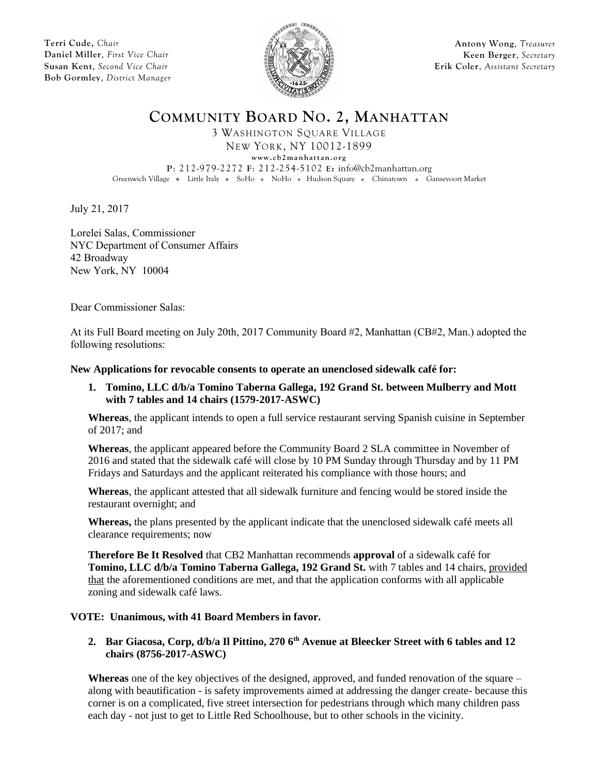**Terri Cude,** *Chair* **Daniel Miller**, *First Vice Chair* **Susan Kent**, *Second Vice Chair* **Bob Gormley**, *District Manager*



**Antony Wong**, *Treasurer* **Keen Berger**, *Secretary* **Erik Coler**, *Assistant Secretary*

**COMMUNITY BOARD NO. 2, MANHATTAN**

3 WASHINGTON SQUARE VILLAGE

NEW YORK, NY 10012-1899

 $www. cb2 manhattan.org$ 

**P**: 212-979-2272 **F**: 212-254-5102 **E:** info@cb2manhattan.org Greenwich Village . Little Italy . SoHo . NoHo . Hudson Square . Chinatown . Gansevoort Market

July 21, 2017

Lorelei Salas, Commissioner NYC Department of Consumer Affairs 42 Broadway New York, NY 10004

Dear Commissioner Salas:

At its Full Board meeting on July 20th, 2017 Community Board #2, Manhattan (CB#2, Man.) adopted the following resolutions:

**New Applications for revocable consents to operate an unenclosed sidewalk café for:**

**1. Tomino, LLC d/b/a Tomino Taberna Gallega, 192 Grand St. between Mulberry and Mott with 7 tables and 14 chairs (1579-2017-ASWC)** 

**Whereas**, the applicant intends to open a full service restaurant serving Spanish cuisine in September of 2017; and

**Whereas**, the applicant appeared before the Community Board 2 SLA committee in November of 2016 and stated that the sidewalk café will close by 10 PM Sunday through Thursday and by 11 PM Fridays and Saturdays and the applicant reiterated his compliance with those hours; and

**Whereas**, the applicant attested that all sidewalk furniture and fencing would be stored inside the restaurant overnight; and

**Whereas,** the plans presented by the applicant indicate that the unenclosed sidewalk café meets all clearance requirements; now

**Therefore Be It Resolved** that CB2 Manhattan recommends **approval** of a sidewalk café for **Tomino, LLC d/b/a Tomino Taberna Gallega, 192 Grand St.** with 7 tables and 14 chairs, provided that the aforementioned conditions are met, and that the application conforms with all applicable zoning and sidewalk café laws.

## **VOTE: Unanimous, with 41 Board Members in favor.**

# **2. Bar Giacosa, Corp, d/b/a Il Pittino, 270 6th Avenue at Bleecker Street with 6 tables and 12 chairs (8756-2017-ASWC)**

**Whereas** one of the key objectives of the designed, approved, and funded renovation of the square – along with beautification - is safety improvements aimed at addressing the danger create- because this corner is on a complicated, five street intersection for pedestrians through which many children pass each day - not just to get to Little Red Schoolhouse, but to other schools in the vicinity.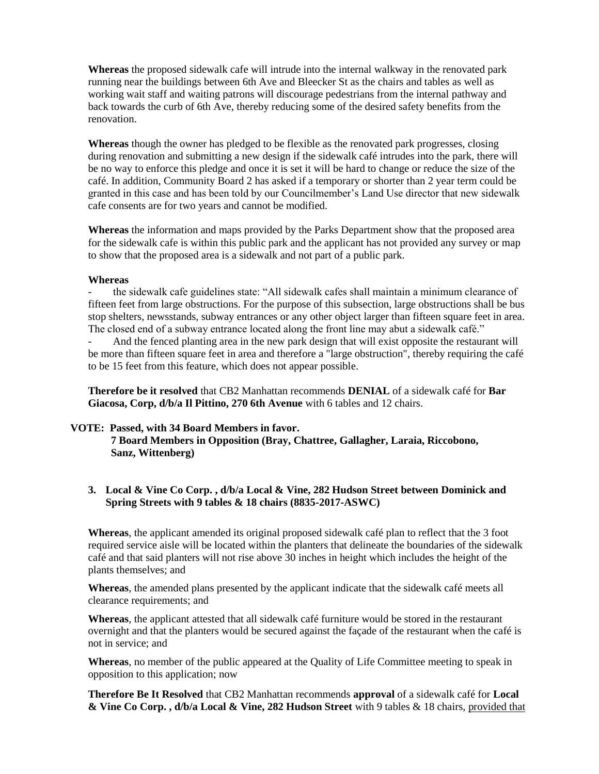**Whereas** the proposed sidewalk cafe will intrude into the internal walkway in the renovated park running near the buildings between 6th Ave and Bleecker St as the chairs and tables as well as working wait staff and waiting patrons will discourage pedestrians from the internal pathway and back towards the curb of 6th Ave, thereby reducing some of the desired safety benefits from the renovation.

**Whereas** though the owner has pledged to be flexible as the renovated park progresses, closing during renovation and submitting a new design if the sidewalk café intrudes into the park, there will be no way to enforce this pledge and once it is set it will be hard to change or reduce the size of the café. In addition, Community Board 2 has asked if a temporary or shorter than 2 year term could be granted in this case and has been told by our Councilmember's Land Use director that new sidewalk cafe consents are for two years and cannot be modified.

**Whereas** the information and maps provided by the Parks Department show that the proposed area for the sidewalk cafe is within this public park and the applicant has not provided any survey or map to show that the proposed area is a sidewalk and not part of a public park.

#### **Whereas**

- the sidewalk cafe guidelines state: "All sidewalk cafes shall maintain a minimum clearance of fifteen feet from large obstructions. For the purpose of this subsection, large obstructions shall be bus stop shelters, newsstands, subway entrances or any other object larger than fifteen square feet in area. The closed end of a subway entrance located along the front line may abut a sidewalk café."

And the fenced planting area in the new park design that will exist opposite the restaurant will be more than fifteen square feet in area and therefore a "large obstruction", thereby requiring the café to be 15 feet from this feature, which does not appear possible.

**Therefore be it resolved** that CB2 Manhattan recommends **DENIAL** of a sidewalk café for **Bar Giacosa, Corp, d/b/a Il Pittino, 270 6th Avenue** with 6 tables and 12 chairs.

## **VOTE: Passed, with 34 Board Members in favor.**

 **7 Board Members in Opposition (Bray, Chattree, Gallagher, Laraia, Riccobono, Sanz, Wittenberg)**

#### **3. Local & Vine Co Corp. , d/b/a Local & Vine, 282 Hudson Street between Dominick and Spring Streets with 9 tables & 18 chairs (8835-2017-ASWC)**

**Whereas**, the applicant amended its original proposed sidewalk café plan to reflect that the 3 foot required service aisle will be located within the planters that delineate the boundaries of the sidewalk café and that said planters will not rise above 30 inches in height which includes the height of the plants themselves; and

**Whereas**, the amended plans presented by the applicant indicate that the sidewalk café meets all clearance requirements; and

**Whereas**, the applicant attested that all sidewalk café furniture would be stored in the restaurant overnight and that the planters would be secured against the façade of the restaurant when the café is not in service; and

**Whereas**, no member of the public appeared at the Quality of Life Committee meeting to speak in opposition to this application; now

**Therefore Be It Resolved** that CB2 Manhattan recommends **approval** of a sidewalk café for **Local & Vine Co Corp. , d/b/a Local & Vine, 282 Hudson Street** with 9 tables & 18 chairs, provided that